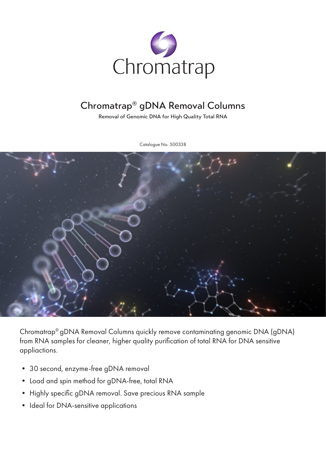

## Chromatrap® gDNA Removal Columns

Removal of Genomic DNA for High Quality Total RNA

Catalogue No. 500338



Chromatrap® gDNA Removal Columns quickly remove contaminating genomic DNA (gDNA) from RNA samples for cleaner, higher quality purification of total RNA for DNA sensitive appliactions.

- 30 second, enzyme-free gDNA removal
- Load and spin method for gDNA-free, total RNA
- Highly specific gDNA removal. Save precious RNA sample
- Ideal for DNA-sensitive applications